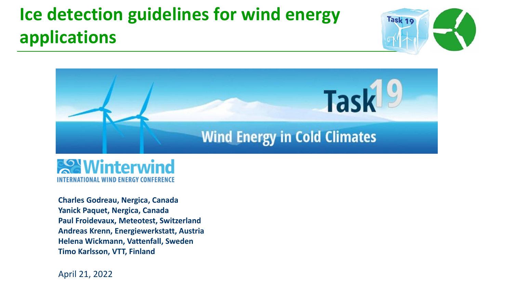### **Ice detection guidelines for wind energy applications**







**Charles Godreau, Nergica, Canada Yanick Paquet, Nergica, Canada Paul Froidevaux, Meteotest, Switzerland Andreas Krenn, Energiewerkstatt, Austria Helena Wickmann, Vattenfall, Sweden Timo Karlsson, VTT, Finland**

April 21, 2022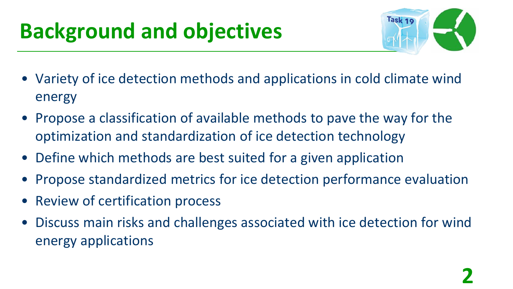# **Background and objectives**



- Variety of ice detection methods and applications in cold climate wind energy
- Propose a classification of available methods to pave the way for the optimization and standardization of ice detection technology
- Define which methods are best suited for a given application
- Propose standardized metrics for ice detection performance evaluation
- Review of certification process
- Discuss main risks and challenges associated with ice detection for wind energy applications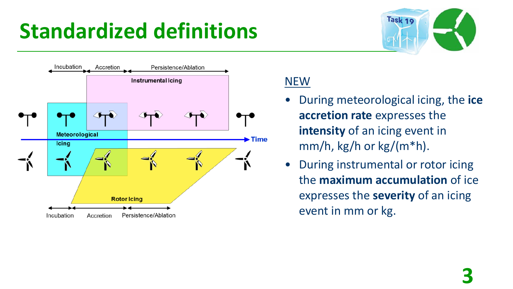## **Standardized definitions**





#### NEW

- During meteorological icing, the **ice accretion rate** expresses the **intensity** of an icing event in  $mm/h$ , kg/h or kg/(m\*h).
- During instrumental or rotor icing the **maximum accumulation** of ice expresses the **severity** of an icing event in mm or kg.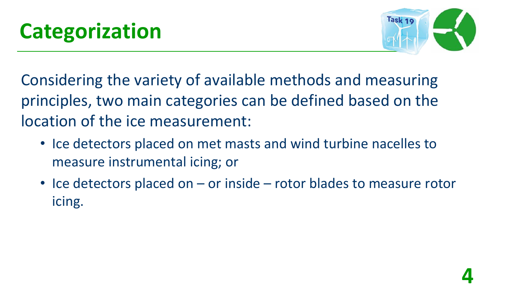

Considering the variety of available methods and measuring principles, two main categories can be defined based on the location of the ice measurement:

- Ice detectors placed on met masts and wind turbine nacelles to measure instrumental icing; or
- Ice detectors placed on or inside rotor blades to measure rotor icing.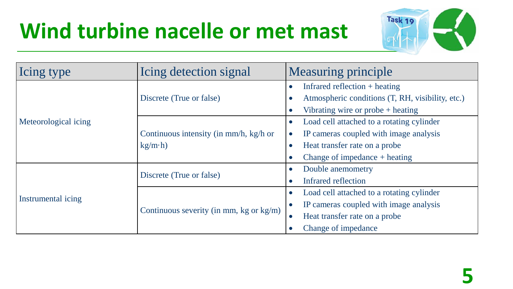## **Wind turbine nacelle or met mast**



| Icing type           | Icing detection signal                                   | <b>Measuring principle</b> |                                                  |  |
|----------------------|----------------------------------------------------------|----------------------------|--------------------------------------------------|--|
|                      | Discrete (True or false)                                 |                            | Infrared reflection $+$ heating                  |  |
| Meteorological icing |                                                          |                            | Atmospheric conditions (T, RH, visibility, etc.) |  |
|                      |                                                          |                            | Vibrating wire or probe $+$ heating              |  |
|                      |                                                          |                            | Load cell attached to a rotating cylinder        |  |
|                      | Continuous intensity (in mm/h, kg/h or<br>$kg/m \cdot h$ | $\bullet$                  | IP cameras coupled with image analysis           |  |
|                      |                                                          | $\bullet$                  | Heat transfer rate on a probe                    |  |
|                      |                                                          |                            | Change of impedance $+$ heating                  |  |
| Instrumental icing   |                                                          | $\bullet$                  | Double anemometry                                |  |
|                      | Discrete (True or false)                                 |                            | Infrared reflection                              |  |
|                      | Continuous severity (in mm, kg or $kg/m$ )               | $\bullet$                  | Load cell attached to a rotating cylinder        |  |
|                      |                                                          | $\bullet$                  | IP cameras coupled with image analysis           |  |
|                      |                                                          | $\bullet$                  | Heat transfer rate on a probe                    |  |
|                      |                                                          | $\bullet$                  | Change of impedance                              |  |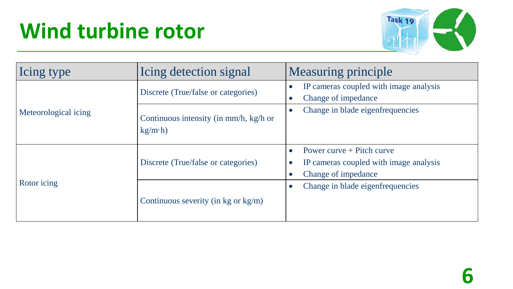# **Wind turbine rotor**



| Icing type           | Icing detection signal                                   | <b>Measuring principle</b>                                                                                |  |
|----------------------|----------------------------------------------------------|-----------------------------------------------------------------------------------------------------------|--|
|                      | Discrete (True/false or categories)                      | IP cameras coupled with image analysis<br>Change of impedance                                             |  |
| Meteorological icing | Continuous intensity (in mm/h, kg/h or<br>$kg/m \cdot h$ | Change in blade eigenfrequencies                                                                          |  |
|                      | Discrete (True/false or categories)                      | Power curve $+$ Pitch curve<br>$\bullet$<br>IP cameras coupled with image analysis<br>Change of impedance |  |
| Rotor icing          | Continuous severity (in kg or $kg/m$ )                   | Change in blade eigenfrequencies                                                                          |  |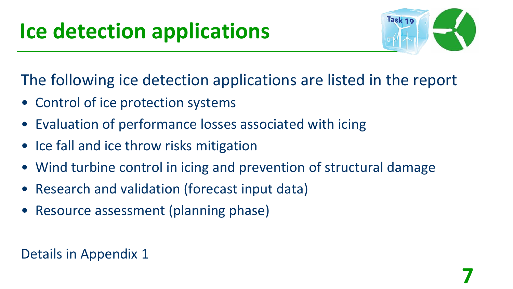# **Ice detection applications**



The following ice detection applications are listed in the report

- Control of ice protection systems
- Evaluation of performance losses associated with icing
- Ice fall and ice throw risks mitigation
- Wind turbine control in icing and prevention of structural damage
- Research and validation (forecast input data)
- Resource assessment (planning phase)

#### Details in Appendix 1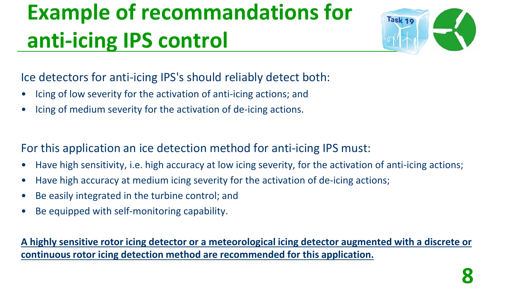# **Example of recommandations for anti-icing IPS control**



Ice detectors for anti-icing IPS's should reliably detect both:

- Icing of low severity for the activation of anti-icing actions; and
- Icing of medium severity for the activation of de-icing actions.

For this application an ice detection method for anti-icing IPS must:

- Have high sensitivity, i.e. high accuracy at low icing severity, for the activation of anti-icing actions;
- Have high accuracy at medium icing severity for the activation of de-icing actions;
- Be easily integrated in the turbine control; and
- Be equipped with self-monitoring capability.

**A highly sensitive rotor icing detector or a meteorological icing detector augmented with a discrete or continuous rotor icing detection method are recommended for this application.**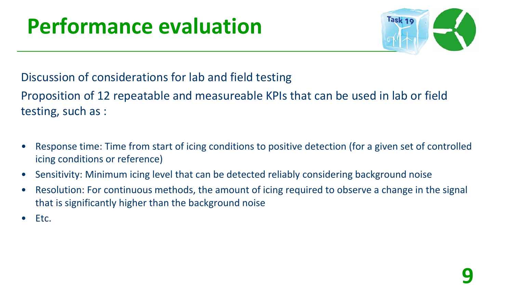# **Performance evaluation**



Discussion of considerations for lab and field testing

Proposition of 12 repeatable and measureable KPIs that can be used in lab or field testing, such as :

- Response time: Time from start of icing conditions to positive detection (for a given set of controlled icing conditions or reference)
- Sensitivity: Minimum icing level that can be detected reliably considering background noise
- Resolution: For continuous methods, the amount of icing required to observe a change in the signal that is significantly higher than the background noise
- Etc.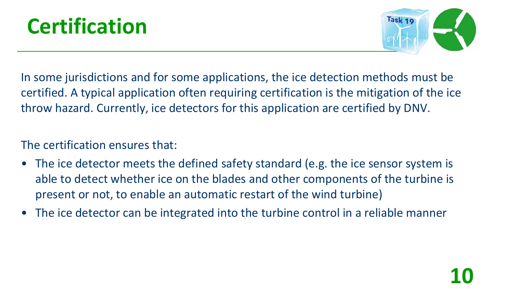



In some jurisdictions and for some applications, the ice detection methods must be certified. A typical application often requiring certification is the mitigation of the ice throw hazard. Currently, ice detectors for this application are certified by DNV.

#### The certification ensures that:

- The ice detector meets the defined safety standard (e.g. the ice sensor system is able to detect whether ice on the blades and other components of the turbine is present or not, to enable an automatic restart of the wind turbine)
- The ice detector can be integrated into the turbine control in a reliable manner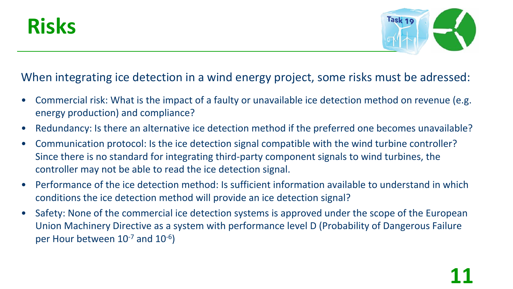



#### When integrating ice detection in a wind energy project, some risks must be adressed:

- Commercial risk: What is the impact of a faulty or unavailable ice detection method on revenue (e.g. energy production) and compliance?
- Redundancy: Is there an alternative ice detection method if the preferred one becomes unavailable?
- Communication protocol: Is the ice detection signal compatible with the wind turbine controller? Since there is no standard for integrating third-party component signals to wind turbines, the controller may not be able to read the ice detection signal.
- Performance of the ice detection method: Is sufficient information available to understand in which conditions the ice detection method will provide an ice detection signal?
- Safety: None of the commercial ice detection systems is approved under the scope of the European Union Machinery Directive as a system with performance level D (Probability of Dangerous Failure per Hour between 10<sup>-7</sup> and 10<sup>-6</sup>)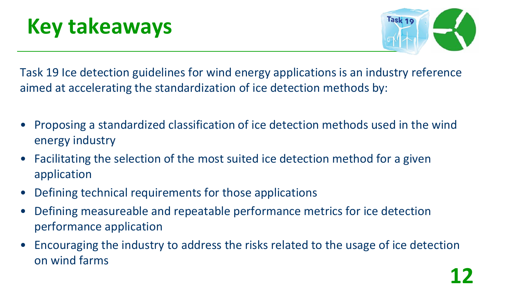# **Key takeaways**



Task 19 Ice detection guidelines for wind energy applications is an industry reference aimed at accelerating the standardization of ice detection methods by:

- Proposing a standardized classification of ice detection methods used in the wind energy industry
- Facilitating the selection of the most suited ice detection method for a given application
- Defining technical requirements for those applications
- Defining measureable and repeatable performance metrics for ice detection performance application
- Encouraging the industry to address the risks related to the usage of ice detection on wind farms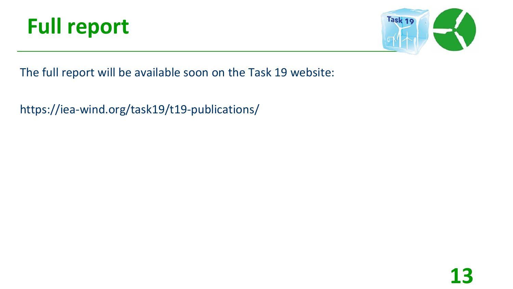



The full report will be available soon on the Task 19 website:

https://iea-wind.org/task19/t19-publications/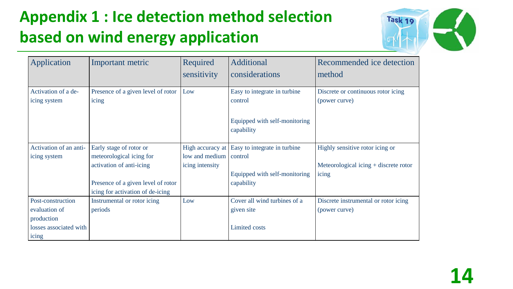### **Appendix 1 : Ice detection method selection based on wind energy application**



| Application            | Important metric                   | Required         | Additional                    | Recommended ice detection               |
|------------------------|------------------------------------|------------------|-------------------------------|-----------------------------------------|
|                        |                                    | sensitivity      | considerations                | method                                  |
| Activation of a de-    | Presence of a given level of rotor | Low              | Easy to integrate in turbine  | Discrete or continuous rotor icing      |
| icing system           | icing                              |                  | control                       | (power curve)                           |
|                        |                                    |                  |                               |                                         |
|                        |                                    |                  | Equipped with self-monitoring |                                         |
|                        |                                    |                  | capability                    |                                         |
|                        |                                    |                  |                               |                                         |
| Activation of an anti- | Early stage of rotor or            | High accuracy at | Easy to integrate in turbine  | Highly sensitive rotor icing or         |
| icing system           | meteorological icing for           | low and medium   | control                       |                                         |
|                        | activation of anti-icing           | icing intensity  |                               | Meteorological icing $+$ discrete rotor |
|                        |                                    |                  | Equipped with self-monitoring | icing                                   |
|                        | Presence of a given level of rotor |                  | capability                    |                                         |
|                        | icing for activation of de-icing   |                  |                               |                                         |
| Post-construction      | Instrumental or rotor icing        | Low              | Cover all wind turbines of a  | Discrete instrumental or rotor icing    |
| evaluation of          | periods                            |                  | given site                    | (power curve)                           |
| production             |                                    |                  |                               |                                         |
| losses associated with |                                    |                  | Limited costs                 |                                         |
| icing                  |                                    |                  |                               |                                         |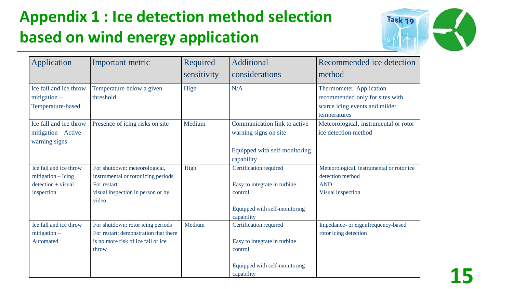### **Appendix 1 : Ice detection method selection based on wind energy application**



**15**

| <b>Application</b>                                                                   | Important metric                                                                                                                   | Required<br>sensitivity | Additional<br>considerations                                                                                     | Recommended ice detection<br>method                                                                           |
|--------------------------------------------------------------------------------------|------------------------------------------------------------------------------------------------------------------------------------|-------------------------|------------------------------------------------------------------------------------------------------------------|---------------------------------------------------------------------------------------------------------------|
| Ice fall and ice throw<br>$mitigation -$<br>Temperature-based                        | Temperature below a given<br>threshold                                                                                             | High                    | N/A                                                                                                              | Thermometer. Application<br>recommended only for sites with<br>scarce icing events and milder<br>temperatures |
| Ice fall and ice throw<br>mitigation - Active<br>warning signs                       | Presence of icing risks on site                                                                                                    | Medium                  | Communication link to active<br>warning signs on site<br>Equipped with self-monitoring<br>capability             | Meteorological, instrumental or rotor<br>ice detection method                                                 |
| Ice fall and ice throw<br>$mitigation - Using$<br>$detection + visual$<br>inspection | For shutdown: meteorological,<br>instrumental or rotor icing periods<br>For restart:<br>visual inspection in person or by<br>video | High                    | Certification required<br>Easy to integrate in turbine<br>control<br>Equipped with self-monitoring<br>capability | Meteorological, instrumental or rotor ice<br>detection method<br><b>AND</b><br>Visual inspection              |
| Ice fall and ice throw<br>$mitigation -$<br>Automated                                | For shutdown: rotor icing periods<br>For restart: demonstration that there<br>is no more risk of ice fall or ice<br>throw          | Medium                  | Certification required<br>Easy to integrate in turbine<br>control<br>Equipped with self-monitoring<br>capability | Impedance- or eigenfrequency-based<br>rotor icing detection                                                   |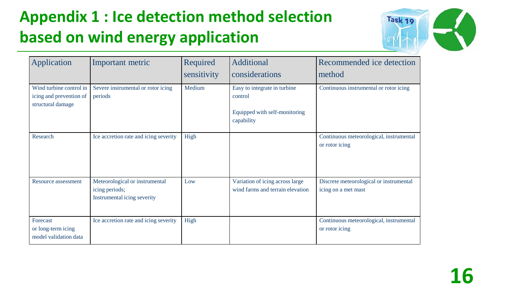### **Appendix 1 : Ice detection method selection based on wind energy application**



| Application                                                             | Important metric                                                                | Required<br>sensitivity | Additional<br>considerations                                                           | Recommended ice detection<br>method                            |
|-------------------------------------------------------------------------|---------------------------------------------------------------------------------|-------------------------|----------------------------------------------------------------------------------------|----------------------------------------------------------------|
| Wind turbine control in<br>icing and prevention of<br>structural damage | Severe instrumental or rotor icing<br>periods                                   | Medium                  | Easy to integrate in turbine<br>control<br>Equipped with self-monitoring<br>capability | Continuous instrumental or rotor icing                         |
| Research                                                                | Ice accretion rate and icing severity                                           | High                    |                                                                                        | Continuous meteorological, instrumental<br>or rotor icing      |
| Resource assessment                                                     | Meteorological or instrumental<br>icing periods;<br>Instrumental icing severity | Low                     | Variation of icing across large<br>wind farms and terrain elevation                    | Discrete meteorological or instrumental<br>icing on a met mast |
| Forecast<br>or long-term icing<br>model validation data                 | Ice accretion rate and icing severity                                           | High                    |                                                                                        | Continuous meteorological, instrumental<br>or rotor icing      |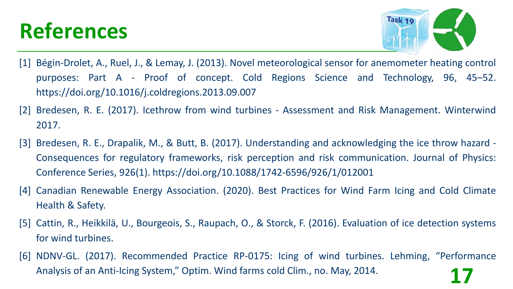

- [1] Bégin-Drolet, A., Ruel, J., & Lemay, J. (2013). Novel meteorological sensor for anemometer heating control purposes: Part A - Proof of concept. Cold Regions Science and Technology, 96, 45–52. https://doi.org/10.1016/j.coldregions.2013.09.007
- [2] Bredesen, R. E. (2017). Icethrow from wind turbines Assessment and Risk Management. Winterwind 2017.
- [3] Bredesen, R. E., Drapalik, M., & Butt, B. (2017). Understanding and acknowledging the ice throw hazard Consequences for regulatory frameworks, risk perception and risk communication. Journal of Physics: Conference Series, 926(1). https://doi.org/10.1088/1742-6596/926/1/012001
- [4] Canadian Renewable Energy Association. (2020). Best Practices for Wind Farm Icing and Cold Climate Health & Safety.
- [5] Cattin, R., Heikkilä, U., Bourgeois, S., Raupach, O., & Storck, F. (2016). Evaluation of ice detection systems for wind turbines.
- [6] NDNV-GL. (2017). Recommended Practice RP-0175: Icing of wind turbines. Lehming, "Performance Analysis of an Anti-Icing System," Optim. Wind farms cold Clim., no. May, 2014. **17**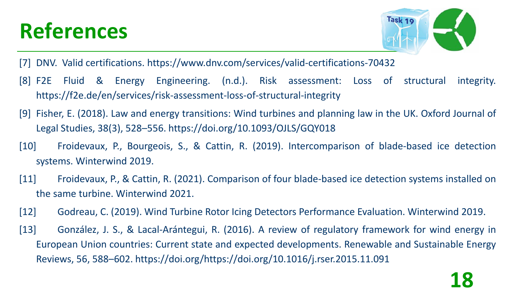

**18**

[7] DNV. Valid certifications. https://www.dnv.com/services/valid-certifications-70432

- [8] F2E Fluid & Energy Engineering. (n.d.). Risk assessment: Loss of structural integrity. https://f2e.de/en/services/risk-assessment-loss-of-structural-integrity
- [9] Fisher, E. (2018). Law and energy transitions: Wind turbines and planning law in the UK. Oxford Journal of Legal Studies, 38(3), 528–556. https://doi.org/10.1093/OJLS/GQY018
- [10] Froidevaux, P., Bourgeois, S., & Cattin, R. (2019). Intercomparison of blade-based ice detection systems. Winterwind 2019.
- [11] Froidevaux, P., & Cattin, R. (2021). Comparison of four blade-based ice detection systems installed on the same turbine. Winterwind 2021.
- [12] Godreau, C. (2019). Wind Turbine Rotor Icing Detectors Performance Evaluation. Winterwind 2019.
- [13] González, J. S., & Lacal-Arántegui, R. (2016). A review of regulatory framework for wind energy in European Union countries: Current state and expected developments. Renewable and Sustainable Energy Reviews, 56, 588–602. https://doi.org/https://doi.org/10.1016/j.rser.2015.11.091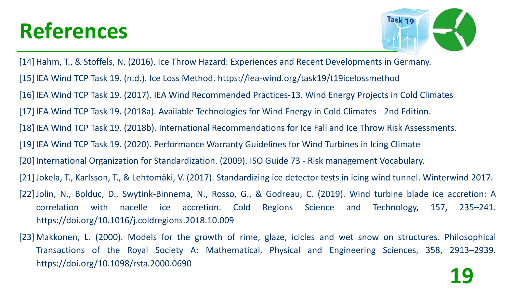

[14] Hahm, T., & Stoffels, N. (2016). Ice Throw Hazard: Experiences and Recent Developments in Germany. [15] IEA Wind TCP Task 19. (n.d.). Ice Loss Method. https://iea-wind.org/task19/t19icelossmethod [16] IEA Wind TCP Task 19. (2017). IEA Wind Recommended Practices-13. Wind Energy Projects in Cold Climates [17] IEA Wind TCP Task 19. (2018a). Available Technologies for Wind Energy in Cold Climates - 2nd Edition. [18] IEA Wind TCP Task 19. (2018b). International Recommendations for Ice Fall and Ice Throw Risk Assessments. [19] IEA Wind TCP Task 19. (2020). Performance Warranty Guidelines for Wind Turbines in Icing Climate [20] International Organization for Standardization. (2009). ISO Guide 73 - Risk management Vocabulary. [21]Jokela, T., Karlsson, T., & Lehtomäki, V. (2017). Standardizing ice detector tests in icing wind tunnel. Winterwind 2017. [22] Jolin, N., Bolduc, D., Swytink-Binnema, N., Rosso, G., & Godreau, C. (2019). Wind turbine blade ice accretion: A correlation with nacelle ice accretion. Cold Regions Science and Technology, 157, 235–241. https://doi.org/10.1016/j.coldregions.2018.10.009

[23] Makkonen, L. (2000). Models for the growth of rime, glaze, icicles and wet snow on structures. Philosophical Transactions of the Royal Society A: Mathematical, Physical and Engineering Sciences, 358, 2913–2939. https://doi.org/10.1098/rsta.2000.0690